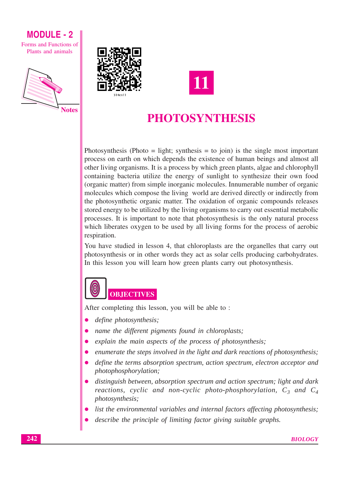

Forms and Functions of Plants and animals







# PHOTOSYNTHESIS

Photosynthesis (Photo = light; synthesis = to join) is the single most important process on earth on which depends the existence of human beings and almost all other living organisms. It is a process by which green plants, algae and chlorophyll containing bacteria utilize the energy of sunlight to synthesize their own food (organic matter) from simple inorganic molecules. Innumerable number of organic molecules which compose the living world are derived directly or indirectly from the photosynthetic organic matter. The oxidation of organic compounds releases stored energy to be utilized by the living organisms to carry out essential metabolic processes. It is important to note that photosynthesis is the only natural process which liberates oxygen to be used by all living forms for the process of aerobic respiration.

You have studied in lesson 4, that chloroplasts are the organelles that carry out photosynthesis or in other words they act as solar cells producing carbohydrates. In this lesson you will learn how green plants carry out photosynthesis.

# **OBJECTIVES**

After completing this lesson, you will be able to:

- define photosynthesis;
- name the different pigments found in chloroplasts;
- explain the main aspects of the process of photosynthesis;
- enumerate the steps involved in the light and dark reactions of photosynthesis;
- define the terms absorption spectrum, action spectrum, electron acceptor and photophosphorylation;
- distinguish between, absorption spectrum and action spectrum; light and dark reactions, cyclic and non-cyclic photo-phosphorylation,  $C_3$  and  $C_4$ photosynthesis;
- list the environmental variables and internal factors affecting photosynthesis;
- describe the principle of limiting factor giving suitable graphs.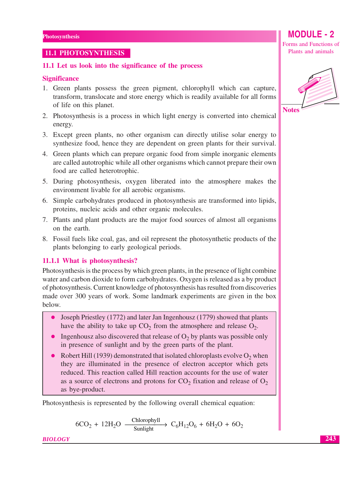## **11.1 PHOTOSYNTHESIS**

## 11.1 Let us look into the significance of the process

## **Significance**

- 1. Green plants possess the green pigment, chlorophyll which can capture, transform, translocate and store energy which is readily available for all forms of life on this planet.
- 2. Photosynthesis is a process in which light energy is converted into chemical energy.
- 3. Except green plants, no other organism can directly utilise solar energy to synthesize food, hence they are dependent on green plants for their survival.
- 4. Green plants which can prepare organic food from simple inorganic elements are called autotrophic while all other organisms which cannot prepare their own food are called heterotrophic.
- 5. During photosynthesis, oxygen liberated into the atmosphere makes the environment livable for all aerobic organisms.
- 6. Simple carbohydrates produced in photosynthesis are transformed into lipids, proteins, nucleic acids and other organic molecules.
- 7. Plants and plant products are the major food sources of almost all organisms on the earth.
- 8. Fossil fuels like coal, gas, and oil represent the photosynthetic products of the plants belonging to early geological periods.

## 11.1.1 What is photosynthesis?

Photosynthesis is the process by which green plants, in the presence of light combine water and carbon dioxide to form carbohydrates. Oxygen is released as a by product of photosynthesis. Current knowledge of photosynthesis has resulted from discoveries made over 300 years of work. Some landmark experiments are given in the box below.

- Joseph Priestley (1772) and later Jan Ingenhousz (1779) showed that plants have the ability to take up  $CO<sub>2</sub>$  from the atmosphere and release  $O<sub>2</sub>$ .
- Ingenhousz also discovered that release of  $O_2$  by plants was possible only in presence of sunlight and by the green parts of the plant.
- Robert Hill (1939) demonstrated that isolated chloroplasts evolve  $O_2$  when they are illuminated in the presence of electron acceptor which gets reduced. This reaction called Hill reaction accounts for the use of water as a source of electrons and protons for  $CO_2$  fixation and release of  $O_2$ as bye-product.

Photosynthesis is represented by the following overall chemical equation:

 $6CO_2 + 12H_2O \xrightarrow{\text{Chlorophyll}} C_6H_{12}O_6 + 6H_2O + 6O_2$ 

**BIOLOGY** 

Forms and Functions of Plants and animals

**MODULE - 2** 



**Notes** 

243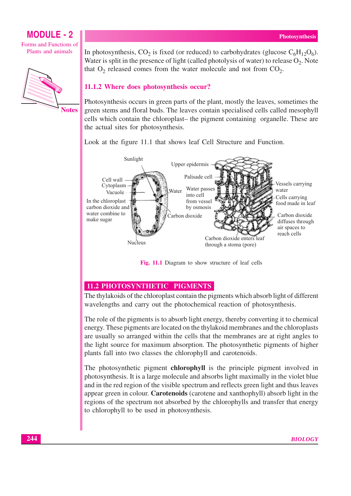Forms and Functions of Plants and animals



In photosynthesis, CO<sub>2</sub> is fixed (or reduced) to carbohydrates (glucose  $C_6H_{12}O_6$ ). Water is split in the presence of light (called photolysis of water) to release  $O_2$ . Note that  $O_2$  released comes from the water molecule and not from  $CO_2$ .

## 11.1.2 Where does photosynthesis occur?

Photosynthesis occurs in green parts of the plant, mostly the leaves, sometimes the green stems and floral buds. The leaves contain specialised cells called mesophyll cells which contain the chloroplast- the pigment containing organelle. These are the actual sites for photosynthesis.

Look at the figure 11.1 that shows leaf Cell Structure and Function.



Fig. 11.1 Diagram to show structure of leaf cells

## 11.2 PHOTOSYNTHETIC PIGMENTS

The thylakoids of the chloroplast contain the pigments which absorb light of different wavelengths and carry out the photochemical reaction of photosynthesis.

The role of the pigments is to absorb light energy, thereby converting it to chemical energy. These pigments are located on the thylakoid membranes and the chloroplasts are usually so arranged within the cells that the membranes are at right angles to the light source for maximum absorption. The photosynthetic pigments of higher plants fall into two classes the chlorophyll and carotenoids.

The photosynthetic pigment **chlorophyll** is the principle pigment involved in photosynthesis. It is a large molecule and absorbs light maximally in the violet blue and in the red region of the visible spectrum and reflects green light and thus leaves appear green in colour. **Carotenoids** (carotene and xanthophyll) absorb light in the regions of the spectrum not absorbed by the chlorophylls and transfer that energy to chlorophyll to be used in photosynthesis.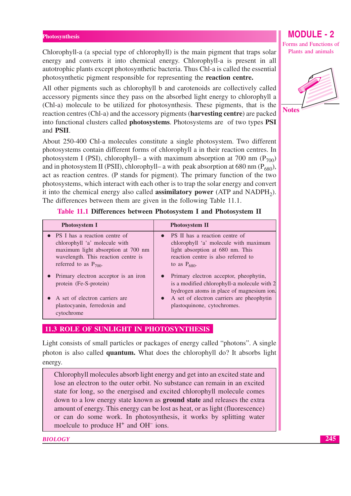Chlorophyll-a (a special type of chlorophyll) is the main pigment that traps solar energy and converts it into chemical energy. Chlorophyll-a is present in all autotrophic plants except photosynthetic bacteria. Thus Chl-a is called the essential photosynthetic pigment responsible for representing the reaction centre.

All other pigments such as chlorophyll b and carotenoids are collectively called accessory pigments since they pass on the absorbed light energy to chlorophyll a (Chl-a) molecule to be utilized for photosynthesis. These pigments, that is the reaction centres (Chl-a) and the accessory pigments (harvesting centre) are packed into functional clusters called photosystems. Photosystems are of two types PSI and **PSII**.

About 250-400 Chl-a molecules constitute a single photosystem. Two different photosystems contain different forms of chlorophyll a in their reaction centres. In photosystem I (PSI), chlorophyll- a with maximum absorption at 700 nm ( $P_{700}$ ) and in photosystem II (PSII), chlorophyll- a with peak absorption at 680 nm ( $P_{680}$ ), act as reaction centres. (P stands for pigment). The primary function of the two photosystems, which interact with each other is to trap the solar energy and convert it into the chemical energy also called **assimilatory power** (ATP and NADPH<sub>2</sub>). The differences between them are given in the following Table 11.1.

| <b>Photosystem I</b>                                                                                                                                                        | <b>Photosystem II</b>                                                                                                                                                                                                         |
|-----------------------------------------------------------------------------------------------------------------------------------------------------------------------------|-------------------------------------------------------------------------------------------------------------------------------------------------------------------------------------------------------------------------------|
| • PS I has a reaction centre of<br>chlorophyll 'a' molecule with<br>maximum light absorption at 700 nm<br>wavelength. This reaction centre is<br>referred to as $P_{700}$ . | PS II has a reaction centre of<br>$\bullet$<br>chlorophyll 'a' molecule with maximum<br>light absorption at 680 nm. This<br>reaction centre is also referred to<br>to as $P_{680}$ .                                          |
| Primary electron acceptor is an iron<br>protein (Fe-S-protein)<br>A set of electron carriers are<br>plastocyanin, ferredoxin and<br>cytochrome                              | • Primary electron acceptor, pheophytin,<br>is a modified chlorophyll-a molecule with 2<br>hydrogen atoms in place of magnesium ion.<br>A set of electron carriers are pheophytin<br>$\bullet$<br>plastoquinone, cytochromes. |

Table 11.1 Differences between Photosystem I and Photosystem II

## 11.3 ROLE OF SUNLIGHT IN PHOTOSYNTHESIS

Light consists of small particles or packages of energy called "photons". A single photon is also called **quantum.** What does the chlorophyll do? It absorbs light energy.

Chlorophyll molecules absorb light energy and get into an excited state and lose an electron to the outer orbit. No substance can remain in an excited state for long, so the energised and excited chlorophyll molecule comes down to a low energy state known as **ground state** and releases the extra amount of energy. This energy can be lost as heat, or as light (fluorescence) or can do some work. In photosynthesis, it works by splitting water moelcule to produce  $H^+$  and  $OH^-$  ions.

**BIOLOGY** 



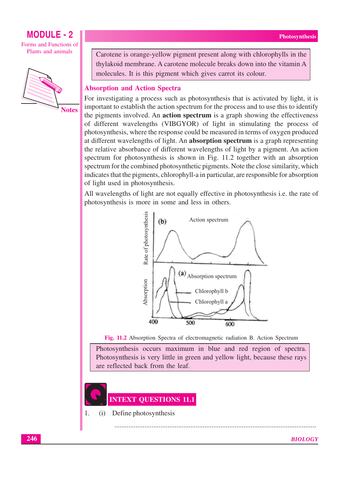Forms and Functions of Plants and animals



Carotene is orange-yellow pigment present along with chlorophylls in the thylakoid membrane. A carotene molecule breaks down into the vitamin A molecules. It is this pigment which gives carrot its colour.

## **Absorption and Action Spectra**

For investigating a process such as photosynthesis that is activated by light, it is important to establish the action spectrum for the process and to use this to identify the pigments involved. An **action spectrum** is a graph showing the effectiveness of different wavelengths (VIBGYOR) of light in stimulating the process of photosynthesis, where the response could be measured in terms of oxygen produced at different wavelengths of light. An **absorption spectrum** is a graph representing the relative absorbance of different wavelengths of light by a pigment. An action spectrum for photosynthesis is shown in Fig. 11.2 together with an absorption spectrum for the combined photosynthetic pigments. Note the close similarity, which indicates that the pigments, chlorophyll-a in particular, are responsible for absorption of light used in photosynthesis.

All wavelengths of light are not equally effective in photosynthesis i.e. the rate of photosynthesis is more in some and less in others.



Fig. 11.2 Absorption Spectra of electromagnetic radiation B. Action Spectrum

Photosynthesis occurs maximum in blue and red region of spectra. Photosynthesis is very little in green and yellow light, because these rays are reflected back from the leaf

## **INTEXT QUESTIONS 11.1**

Define photosynthesis  $(i)$ 

1.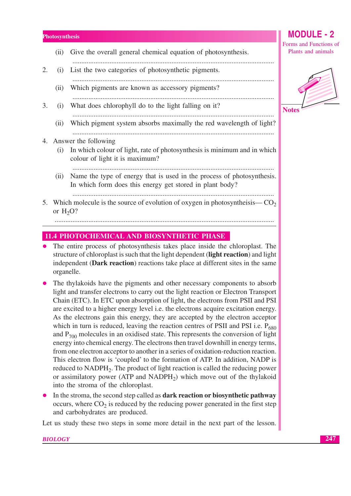- Give the overall general chemical equation of photosynthesis.  $(ii)$
- $\mathcal{D}_{\mathcal{L}}$ List the two categories of photosynthetic pigments.  $(i)$ 
	- (ii) Which pigments are known as accessory pigments?
- 3. (i) What does chlorophyll do to the light falling on it?
	- (ii) Which pigment system absorbs maximally the red wavelength of light?

### 4. Answer the following

(i) In which colour of light, rate of photosynthesis is minimum and in which colour of light it is maximum?

- (ii) Name the type of energy that is used in the process of photosynthesis. In which form does this energy get stored in plant body?
- 5. Which molecule is the source of evolution of oxygen in photosynthesis— $CO<sub>2</sub>$ or  $H<sub>2</sub>O$ ?

## **11.4 PHOTOCHEMICAL AND BIOSYNTHETIC PHASE**

- The entire process of photosynthesis takes place inside the chloroplast. The structure of chloroplast is such that the light dependent (light reaction) and light independent (Dark reaction) reactions take place at different sites in the same organelle.
- The thylakoids have the pigments and other necessary components to absorb light and transfer electrons to carry out the light reaction or Electron Transport Chain (ETC). In ETC upon absorption of light, the electrons from PSII and PSI are excited to a higher energy level i.e. the electrons acquire excitation energy. As the electrons gain this energy, they are accepted by the electron acceptor which in turn is reduced, leaving the reaction centres of PSII and PSI i.e.  $P_{680}$ and  $P_{700}$  molecules in an oxidised state. This represents the conversion of light energy into chemical energy. The electrons then travel downhill in energy terms, from one electron acceptor to another in a series of oxidation-reduction reaction. This electron flow is 'coupled' to the formation of ATP. In addition, NADP is reduced to  $NADPH_2$ . The product of light reaction is called the reducing power or assimilatory power (ATP and NADPH<sub>2</sub>) which move out of the thylakoid into the stroma of the chloroplast.
- In the stroma, the second step called as **dark reaction or biosynthetic pathway** occurs, where  $CO<sub>2</sub>$  is reduced by the reducing power generated in the first step and carbohydrates are produced.

Let us study these two steps in some more detail in the next part of the lesson.

**MODULE - 2** Forms and Functions of Plants and animals

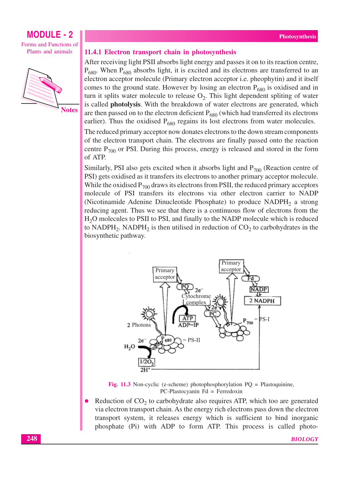Forms and Functions of Plants and animals



11.4.1 Electron transport chain in photosynthesis

After receiving light PSII absorbs light energy and passes it on to its reaction centre,  $P_{680}$ . When  $P_{680}$  absorbs light, it is excited and its electrons are transferred to an electron acceptor molecule (Primary electron acceptor *i.e.* pheophytin) and it itself comes to the ground state. However by losing an electron  $P_{680}$  is oxidised and in turn it splits water molecule to release  $O_2$ . This light dependent spliting of water is called photolysis. With the breakdown of water electrons are generated, which are then passed on to the electron deficient  $P_{680}$  (which had transferred its electrons earlier). Thus the oxidised  $P_{680}$  regains its lost electrons from water molecules.

The reduced primary acceptor now donates electrons to the down stream components of the electron transport chain. The electrons are finally passed onto the reaction centre  $P_{700}$  or PSI. During this process, energy is released and stored in the form of ATP.

Similarly, PSI also gets excited when it absorbs light and  $P_{700}$  (Reaction centre of PSI) gets oxidised as it transfers its electrons to another primary acceptor molecule. While the oxidised  $P_{700}$  draws its electrons from PSII, the reduced primary acceptors molecule of PSI transfers its electrons via other electron carrier to NADP (Nicotinamide Adenine Dinucleotide Phosphate) to produce NADPH<sub>2</sub> a strong reducing agent. Thus we see that there is a continuous flow of electrons from the H<sub>2</sub>O molecules to PSII to PSI, and finally to the NADP molecule which is reduced to NADPH<sub>2</sub>. NADPH<sub>2</sub> is then utilised in reduction of  $CO<sub>2</sub>$  to carbohydrates in the biosynthetic pathway.



Fig. 11.3 Non-cyclic (z-scheme) photophosphorylation  $PQ =$  Plastoquinine,  $PC$ -Plastocyanin  $Fd = Ferredoxin$ 

Reduction of  $CO<sub>2</sub>$  to carbohydrate also requires ATP, which too are generated via electron transport chain. As the energy rich electrons pass down the electron transport system, it releases energy which is sufficient to bind inorganic phosphate (Pi) with ADP to form ATP. This process is called photo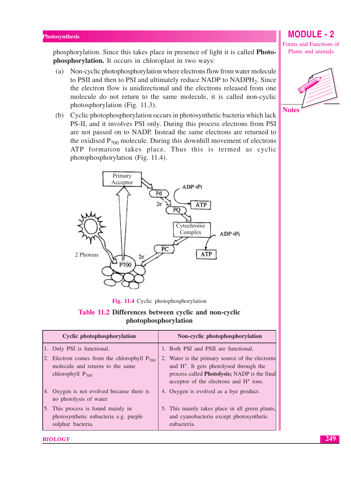phosphorylation. Since this takes place in presence of light it is called **Photo**phosphorylation. It occurs in chloroplast in two ways:

- (a) Non-cyclic photophosphorylation where electrons flow from water molecule to PSII and then to PSI and ultimately reduce NADP to NADPH<sub>2</sub>. Since the electron flow is unidirectional and the electrons released from one molecule do not return to the same molecule, it is called non-cyclic photosphorylation (Fig. 11.3).
- (b) Cyclic photophosphorylation occurs in photosynthetic bacteria which lack PS-II, and it involves PSI only. During this process electrons from PSI are not passed on to NADP. Instead the same electrons are returned to the oxidised  $P_{700}$  molecule. During this downhill movement of electrons ATP formation takes place. Thus this is termed as cyclic photophosphorylation (Fig. 11.4).



Fig. 11.4 Cyclic photophosphorylation

## Table 11.2 Differences between cyclic and non-cyclic photophosphorylation

| <b>Cyclic photophosphorylation</b>                                                                            | Non-cyclic photophosphorylation                                                                                                                                                                     |
|---------------------------------------------------------------------------------------------------------------|-----------------------------------------------------------------------------------------------------------------------------------------------------------------------------------------------------|
| 1. Only PSI is functional.                                                                                    | 1. Both PSI and PSII are functional.                                                                                                                                                                |
| 2. Electron comes from the chlorophyll $P_{700}$<br>molecule and returns to the same<br>chlorophyll $P_{700}$ | 2. Water is the primary source of the electorns<br>and H <sup>+</sup> . It gets photolysed through the<br>process called Photolysis; NADP is the final<br>acceptor of the electrons and $H^+$ ions. |
| 4. Oxygen is not evolved because there is<br>no photolysis of water                                           | 4. Oxygen is evolved as a bye product.                                                                                                                                                              |
| 5. This process is found mainly in<br>photosynthetic eubacteria e.g. purple<br>sulphur bacteria.              | 5. This mainly takes place in all green plants,<br>and cyanobacteria except photosynthetic<br>eubacteria.                                                                                           |





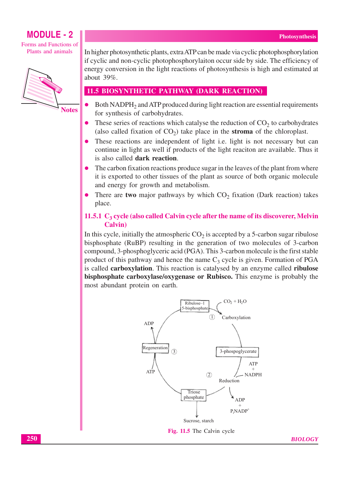Forms and Functions of Plants and animals



**Notes** 

In higher photosynthetic plants, extra ATP can be made via cyclic photophosphorylation if cyclic and non-cyclic photophosphorylaiton occur side by side. The efficiency of energy conversion in the light reactions of photosynthesis is high and estimated at about  $39\%$ .

## **11.5 BIOSYNTHETIC PATHWAY (DARK REACTION)**

- Both NADPH<sub>2</sub> and ATP produced during light reaction are essential requirements for synthesis of carbohydrates.
- These series of reactions which catalyse the reduction of  $CO<sub>2</sub>$  to carbohydrates (also called fixation of  $CO<sub>2</sub>$ ) take place in the stroma of the chloroplast.
- These reactions are independent of light i.e. light is not necessary but can continue in light as well if products of the light reaciton are available. Thus it is also called dark reaction.
- The carbon fixation reactions produce sugar in the leaves of the plant from where it is exported to other tissues of the plant as source of both organic molecule and energy for growth and metabolism.
- There are two major pathways by which  $CO<sub>2</sub>$  fixation (Dark reaction) takes place.

## 11.5.1  $C_3$  cycle (also called Calvin cycle after the name of its discoverer, Melvin **Calvin**)

In this cycle, initially the atmospheric  $CO<sub>2</sub>$  is accepted by a 5-carbon sugar ribulose bisphosphate (RuBP) resulting in the generation of two molecules of 3-carbon compound, 3-phosphoglyceric acid (PGA). This 3-carbon molecule is the first stable product of this pathway and hence the name  $C_3$  cycle is given. Formation of PGA is called carboxylation. This reaction is catalysed by an enzyme called ribulose bisphosphate carboxylase/oxygenase or Rubisco. This enzyme is probably the most abundant protein on earth.



**BIOLOGY**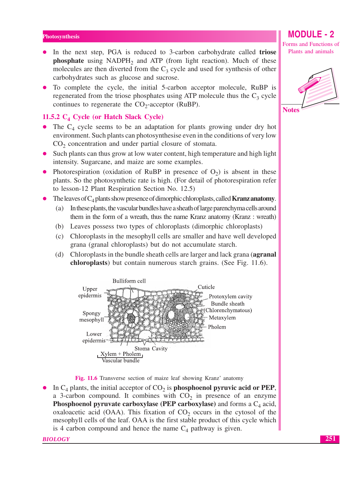- In the next step, PGA is reduced to 3-carbon carbohydrate called **triose** phosphate using NADPH<sub>2</sub> and ATP (from light reaction). Much of these molecules are then diverted from the  $C_3$  cycle and used for synthesis of other carbohydrates such as glucose and sucrose.
- To complete the cycle, the initial 5-carbon acceptor molecule, RuBP is regenerated from the triose phosphates using ATP molecule thus the  $C_3$  cycle continues to regenerate the  $CO_2$ -acceptor (RuBP).

## 11.5.2  $C_4$  Cycle (or Hatch Slack Cycle)

- The  $C_4$  cycle seems to be an adaptation for plants growing under dry hot environment. Such plants can photosynthesise even in the conditions of very low  $CO<sub>2</sub>$  concentration and under partial closure of stomata.
- Such plants can thus grow at low water content, high temperature and high light intensity. Sugarcane, and maize are some examples.
- Photorespiration (oxidation of RuBP in presence of  $O_2$ ) is absent in these plants. So the photosynthetic rate is high. (For detail of photorespiration refer to lesson-12 Plant Respiration Section No. 12.5)
- The leaves of  $C_4$  plants show presence of dimorphic chloroplasts, called **Kranz anatomy**.
	- In these plants, the vascular bundles have a sheath of large parenchyma cells around (a) them in the form of a wreath, thus the name Kranz anatomy (Kranz: wreath)
	- (b) Leaves possess two types of chloroplasts (dimorphic chloroplasts)
	- $(c)$ Chloroplasts in the mesophyll cells are smaller and have well developed grana (granal chloroplasts) but do not accumulate starch.
	- (d) Chloroplasts in the bundle sheath cells are larger and lack grana (agranal chloroplasts) but contain numerous starch grains. (See Fig. 11.6).



Fig. 11.6 Transverse section of maize leaf showing Kranz' anatomy

In  $C_4$  plants, the initial acceptor of  $CO_2$  is **phosphoenol pyruvic acid or PEP**, a 3-carbon compound. It combines with  $CO<sub>2</sub>$  in presence of an enzyme **Phosphoenol pyruvate carboxylase (PEP carboxylase)** and forms a  $C_4$  acid, oxaloacetic acid (OAA). This fixation of  $CO<sub>2</sub>$  occurs in the cytosol of the mesophyll cells of the leaf. OAA is the first stable product of this cycle which is 4 carbon compound and hence the name  $C_4$  pathway is given.

**BIOLOGY** 

## **MODULE - 2** Forms and Functions of

Plants and animals

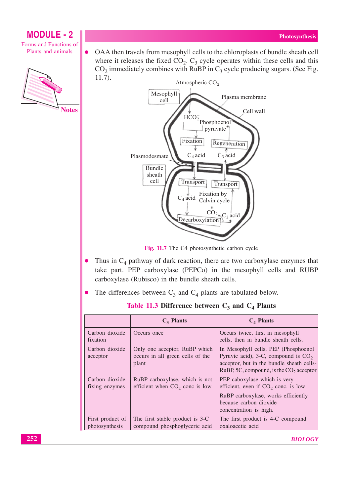**MODULE - 2** Forms and Functions of Plants and animals



OAA then travels from mesophyll cells to the chloroplasts of bundle sheath cell  $\bullet$ where it releases the fixed  $CO<sub>2</sub>$ .  $C<sub>3</sub>$  cycle operates within these cells and this  $CO<sub>2</sub>$  immediately combines with RuBP in  $C<sub>3</sub>$  cycle producing sugars. (See Fig.  $11.7$ ).



Fig. 11.7 The C4 photosynthetic carbon cycle

- Thus in  $C_4$  pathway of dark reaction, there are two carboxylase enzymes that  $\bullet$ take part. PEP carboxylase (PEPCo) in the mesophyll cells and RUBP carboxylase (Rubisco) in the bundle sheath cells.
- The differences between  $C_3$  and  $C_4$  plants are tabulated below.  $\bullet$

Table 11.3 Difference between  $C_3$  and  $C_4$  Plants

|                                    | $C_3$ Plants                                                               | $C_4$ Plants                                                                                                                                                             |
|------------------------------------|----------------------------------------------------------------------------|--------------------------------------------------------------------------------------------------------------------------------------------------------------------------|
| Carbon dioxide<br>fixation         | Occurs once                                                                | Occurs twice, first in mesophyll<br>cells, then in bundle sheath cells.                                                                                                  |
| Carbon dioxide<br>acceptor         | Only one acceptor, RuBP which<br>occurs in all green cells of the<br>plant | In Mesophyll cells, PEP (Phosphoenol)<br>Pyruvic acid), 3-C, compound is $CO2$<br>acceptor, but in the bundle sheath cells-<br>RuBP, 5C, compound, is the $CO2$ acceptor |
| Carbon dioxide<br>fixing enzymes   | RuBP carboxylase, which is not<br>efficient when $CO2$ conc is low         | PEP caboxylase which is very<br>efficient, even if $CO2$ conc. is low                                                                                                    |
|                                    |                                                                            | RuBP carboxylase, works efficiently<br>because carbon dioxide<br>concentration is high.                                                                                  |
| First product of<br>photosynthesis | The first stable product is 3-C<br>compound phosphoglyceric acid           | The first product is 4-C compound<br>oxaloacetic acid                                                                                                                    |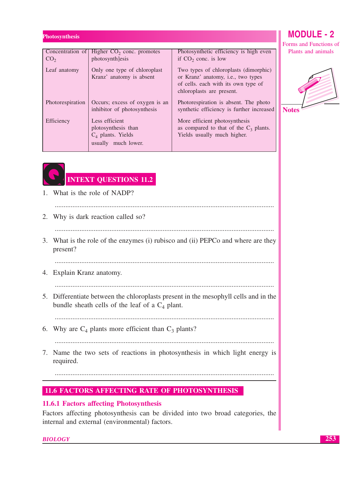| Concentration of<br>CO <sub>2</sub> | Higher $CO2$ conc. promotes<br>photosynth]esis                                       | Photosynthetic efficiency is high even<br>if $CO2$ conc. is low                                                                                 |  |
|-------------------------------------|--------------------------------------------------------------------------------------|-------------------------------------------------------------------------------------------------------------------------------------------------|--|
| Leaf anatomy                        | Only one type of chloroplast<br>Kranz' anatomy is absent                             | Two types of chloroplasts (dimorphic)<br>or Kranz' anatomy, i.e., two types<br>of cells. each with its own type of<br>chloroplasts are present. |  |
| Photorespiration                    | Occurs; excess of oxygen is an<br>inhibitor of photosynthesis                        | Photorespiration is absent. The photo<br>synthetic efficiency is further increased                                                              |  |
| Efficiency                          | Less efficient<br>plotosynthesis than<br>$C_4$ plants. Yields<br>usually much lower. | More efficient photosynthesis<br>as compared to that of the $C_3$ plants.<br>Yields usually much higher.                                        |  |



Forms and Functions of Plants and animals



# **INTEXT QUESTIONS 11.2**

- 1. What is the role of NADP? 2. Why is dark reaction called so? 3. What is the role of the enzymes (i) rubisco and (ii) PEPCo and where are they present? 4. Explain Kranz anatomy. 5. Differentiate between the chloroplasts present in the mesophyll cells and in the bundle sheath cells of the leaf of a  $C_4$  plant. 6. Why are  $C_4$  plants more efficient than  $C_3$  plants? 7. Name the two sets of reactions in photosynthesis in which light energy is
- required.

## **11.6 FACTORS AFFECTING RATE OF PHOTOSYNTHESIS**

## 11.6.1 Factors affecting Photosynthesis

Factors affecting photosynthesis can be divided into two broad categories, the internal and external (environmental) factors.

**BIOLOGY**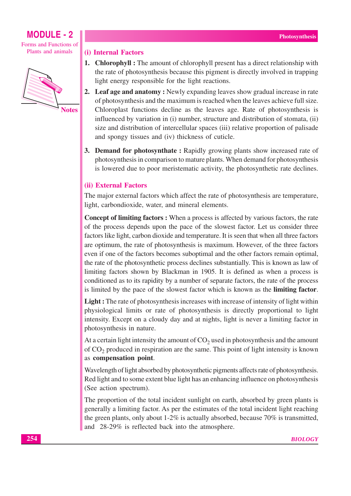Forms and Functions of Plants and animals



**Notes** 

### (i) Internal Factors

- 1. Chlorophyll: The amount of chlorophyll present has a direct relationship with the rate of photosynthesis because this pigment is directly involved in trapping light energy responsible for the light reactions.
- 2. Leaf age and anatomy: Newly expanding leaves show gradual increase in rate of photosynthesis and the maximum is reached when the leaves achieve full size. Chloroplast functions decline as the leaves age. Rate of photosynthesis is influenced by variation in (i) number, structure and distribution of stomata, (ii) size and distribution of intercellular spaces (iii) relative proportion of palisade and spongy tissues and (iv) thickness of cuticle.
- **3. Demand for photosynthate:** Rapidly growing plants show increased rate of photosynthesis in comparison to mature plants. When demand for photosynthesis is lowered due to poor meristematic activity, the photosynthetic rate declines.

## (ii) External Factors

The major external factors which affect the rate of photosynthesis are temperature, light, carbondioxide, water, and mineral elements.

**Concept of limiting factors:** When a process is affected by various factors, the rate of the process depends upon the pace of the slowest factor. Let us consider three factors like light, carbon dioxide and temperature. It is seen that when all three factors are optimum, the rate of photosynthesis is maximum. However, of the three factors even if one of the factors becomes suboptimal and the other factors remain optimal, the rate of the photosynthetic process declines substantially. This is known as law of limiting factors shown by Blackman in 1905. It is defined as when a process is conditioned as to its rapidity by a number of separate factors, the rate of the process is limited by the pace of the slowest factor which is known as the limiting factor.

**Light**: The rate of photosynthesis increases with increase of intensity of light within physiological limits or rate of photosynthesis is directly proportional to light intensity. Except on a cloudy day and at nights, light is never a limiting factor in photosynthesis in nature.

At a certain light intensity the amount of  $CO<sub>2</sub>$  used in photosynthesis and the amount of  $CO<sub>2</sub>$  produced in respiration are the same. This point of light intensity is known as compensation point.

Wavelength of light absorbed by photosynthetic pigments affects rate of photosynthesis. Red light and to some extent blue light has an enhancing influence on photosynthesis (See action spectrum).

The proportion of the total incident sunlight on earth, absorbed by green plants is generally a limiting factor. As per the estimates of the total incident light reaching the green plants, only about  $1-2\%$  is actually absorbed, because 70% is transmitted, and 28-29% is reflected back into the atmosphere.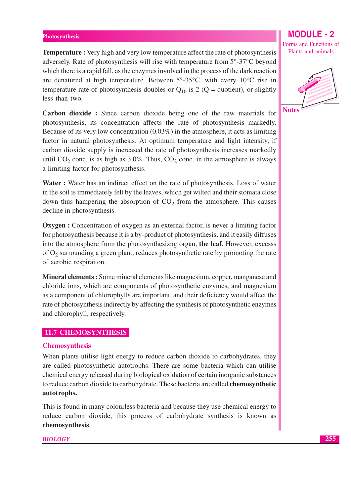**Temperature:** Very high and very low temperature affect the rate of photosynthesis adversely. Rate of photosynthesis will rise with temperature from 5°-37°C beyond which there is a rapid fall, as the enzymes involved in the process of the dark reaction are denatured at high temperature. Between  $5^{\circ}$ -35 $^{\circ}$ C, with every 10 $^{\circ}$ C rise in temperature rate of photosynthesis doubles or  $Q_{10}$  is 2 (Q = quotient), or slightly less than two.

Carbon dioxide: Since carbon dioxide being one of the raw materials for photosynthesis, its concentration affects the rate of photosynthesis markedly. Because of its very low concentration  $(0.03\%)$  in the atmosphere, it acts as limiting factor in natural photosynthesis. At optimum temperature and light intensity, if carbon dioxide supply is increased the rate of photosynthesis increases markedly until  $CO_2$  conc. is as high as 3.0%. Thus,  $CO_2$  conc. in the atmosphere is always a limiting factor for photosynthesis.

Water: Water has an indirect effect on the rate of photosynthesis. Loss of water in the soil is immediately felt by the leaves, which get wilted and their stomata close down thus hampering the absorption of  $CO<sub>2</sub>$  from the atmosphere. This causes decline in photosynthesis.

**Oxygen**: Concentration of oxygen as an external factor, is never a limiting factor for photosynthesis because it is a by-product of photosynthesis, and it easily diffuses into the atmosphere from the photosynthesizng organ, the leaf. However, excesss of  $O_2$  surrounding a green plant, reduces photosynthetic rate by promoting the rate of aerobic respiraiton.

Mineral elements: Some mineral elements like magnesium, copper, manganese and chloride ions, which are components of photosynthetic enzymes, and magnesium as a component of chlorophylls are important, and their deficiency would affect the rate of photosynthesis indirectly by affecting the synthesis of photosynthetic enzymes and chlorophyll, respectively.

## 11.7 CHEMOSYNTHESIS

### **Chemosynthesis**

When plants utilise light energy to reduce carbon dioxide to carbohydrates, they are called photosynthetic autotrophs. There are some bacteria which can utilise chemical energy released during biological oxidation of certain inorganic substances to reduce carbon dioxide to carbohydrate. These bacteria are called chemosynthetic autotrophs.

This is found in many colourless bacteria and because they use chemical energy to reduce carbon dioxide, this process of carbohydrate synthesis is known as chemosynthesis.

**BIOLOGY** 

## **MODULE - 2**

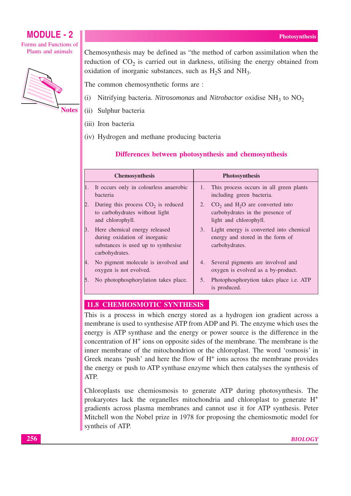## **MODULE - 2** Forms and Functions of

Plants and animals



**Notes** 

Chemosynthesis may be defined as "the method of carbon assimilation when the reduction of CO<sub>2</sub> is carried out in darkness, utilising the energy obtained from oxidation of inorganic substances, such as  $H_2S$  and  $NH_3$ .

The common chemosynthetic forms are :

- Nitrifying bacteria. Nitrosomonas and Nitrobactor oxidise NH<sub>3</sub> to NO<sub>2</sub>  $(i)$
- (ii) Sulphur bacteria
- (iii) Iron bacteria
- (iv) Hydrogen and methane producing bacteria

## Differences between photosynthesis and chemosynthesis

| <b>Chemosynthesis</b> |                                                                                                                         | <b>Photosynthesis</b> |                                                                                                             |
|-----------------------|-------------------------------------------------------------------------------------------------------------------------|-----------------------|-------------------------------------------------------------------------------------------------------------|
|                       | It occurs only in colourless anaerobic<br><b>bacteria</b>                                                               | 1.                    | This process occurs in all green plants<br>including green bacteria.                                        |
| 2.                    | During this process $CO2$ is reduced<br>to carbohydrates without light<br>and chlorophyll.                              | 2.                    | $CO2$ and H <sub>2</sub> O are converted into<br>carbohydrates in the presence of<br>light and chlorophyll. |
| 3.                    | Here chemical energy released<br>during oxidation of inorganic<br>substances is used up to synthesise<br>carbohydrates. | 3.                    | Light energy is converted into chemical<br>energy and stored in the form of<br>carbohydrates.               |
| 4.                    | No pigment molecule is involved and<br>oxygen is not evolved.                                                           | 4.                    | Several pigments are involved and<br>oxygen is evolved as a by-product.                                     |
| 5.                    | No photophosphorylation takes place.                                                                                    | 5.                    | Photophosphorytion takes place i.e. ATP<br>is produced.                                                     |

## 11.8 CHEMIOSMOTIC SYNTHESIS

This is a process in which energy stored as a hydrogen ion gradient across a membrane is used to synthesise ATP from ADP and Pi. The enzyme which uses the energy is ATP synthase and the energy or power source is the difference in the concentration of  $H^+$  ions on opposite sides of the membrane. The membrane is the inner membrane of the mitochondrion or the chloroplast. The word 'osmosis' in Greek means 'push' and here the flow of  $H<sup>+</sup>$  ions across the membrane provides the energy or push to ATP synthase enzyme which then catalyses the synthesis of ATP.

Chloroplasts use chemiosmosis to generate ATP during photosynthesis. The prokaryotes lack the organielles mitochondria and chloroplast to generate  $H^+$ gradients across plasma membranes and cannot use it for ATP synthesis. Peter Mitchell won the Nobel prize in 1978 for proposing the chemiosmotic model for syntheis of ATP.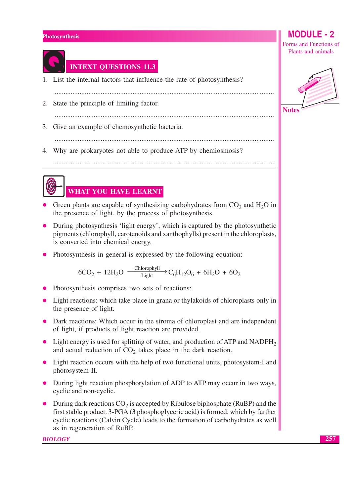

## **INTEXT QUESTIONS 11.3**

- 1. List the internal factors that influence the rate of photosynthesis?
- 
- 2. State the principle of limiting factor.
- 3. Give an example of chemosynthetic bacteria.
	-

- 4. Why are prokaryotes not able to produce ATP by chemiosmosis?
	-



## WHAT YOU HAVE LEARNT

- Green plants are capable of synthesizing carbohydrates from  $CO<sub>2</sub>$  and  $H<sub>2</sub>O$  in the presence of light, by the process of photosynthesis.
- During photosynthesis 'light energy', which is captured by the photosynthetic pigments (chlorophyll, carotenoids and xanthophylls) present in the chloroplasts, is converted into chemical energy.
- Photosynthesis in general is expressed by the following equation:

$$
6CO_2 + 12H_2O \xrightarrow{\text{Chlorophyll}} C_6H_{12}O_6 + 6H_2O + 6O_2
$$

- Photosynthesis comprises two sets of reactions:
- Light reactions: which take place in grana or thylakoids of chloroplasts only in the presence of light.
- Dark reactions: Which occur in the stroma of chloroplast and are independent of light, if products of light reaction are provided.
- Light energy is used for splitting of water, and production of ATP and NADPH<sub>2</sub> and actual reduction of  $CO<sub>2</sub>$  takes place in the dark reaction.
- Light reaction occurs with the help of two functional units, photosystem-I and photosystem-II.
- During light reaction phosphorylation of ADP to ATP may occur in two ways, cyclic and non-cyclic.
- During dark reactions  $CO<sub>2</sub>$  is accepted by Ribulose biphosphate (RuBP) and the first stable product. 3-PGA (3 phosphoglyceric acid) is formed, which by further cyclic reactions (Calvin Cycle) leads to the formation of carbohydrates as well as in regeneration of RuBP.

### **BIOLOGY**

**MODULE - 2** Forms and Functions of

Plants and animals



257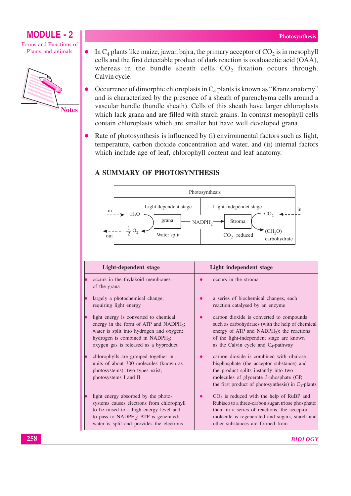Forms and Functions of Plants and animals



In  $C_4$  plants like maize, jawar, bajra, the primary acceptor of  $CO_2$  is in mesophyll  $\bullet$ cells and the first detectable product of dark reaction is oxaloacetic acid (OAA), whereas in the bundle sheath cells  $CO<sub>2</sub>$  fixation occurs through. Calvin cycle.

- Occurrence of dimorphic chloroplasts in  $C_4$  plants is known as "Kranz anatomy" and is characterized by the presence of a sheath of parenchyma cells around a vascular bundle (bundle sheath). Cells of this sheath have larger chloroplasts which lack grana and are filled with starch grains. In contrast mesophyll cells contain chloroplasts which are smaller but have well developed grana.
- Rate of photosynthesis is influenced by (i) environmental factors such as light, temperature, carbon dioxide concentration and water, and (ii) internal factors which include age of leaf, chlorophyll content and leaf anatomy.

## **A SUMMARY OF PHOTOSYNTHESIS**



| Light-dependent stage |                                                                                                                                                                                                                                  | Light independent stage |                                                                                                                                                                                                                                             |
|-----------------------|----------------------------------------------------------------------------------------------------------------------------------------------------------------------------------------------------------------------------------|-------------------------|---------------------------------------------------------------------------------------------------------------------------------------------------------------------------------------------------------------------------------------------|
|                       | occurs in the thylakoid membranes<br>of the grana                                                                                                                                                                                |                         | occurs in the stroma                                                                                                                                                                                                                        |
|                       | largely a photochemical change,<br>requiring light energy                                                                                                                                                                        |                         | a series of biochemical changes, each<br>reaction catalysed by an enzyme                                                                                                                                                                    |
|                       | light energy is converted to chemical<br>energy in the form of ATP and NADPH <sub>2</sub> ;<br>water is split into hydrogen and oxygen;<br>hydrogen is combined in NADPH <sub>2</sub> ;<br>oxygen gas is released as a byproduct |                         | carbon dioxide is converted to compounds<br>such as carbohydrates (with the help of chemical<br>energy of ATP and NADPH <sub>2</sub> ); the reactions<br>of the light-independent stage are known<br>as the Calvin cycle and $C_4$ -pathway |
|                       | chlorophylls are grouped together in<br>units of about 300 molecules (known as<br>photosystems); two types exist,<br>photosystems I and II                                                                                       |                         | carbon dioxide is combined with ribulose<br>bisphosphate (the acceptor substance) and<br>the product splits instantly into two<br>molecules of glycerate 3-phosphate (GP,<br>the first product of photosynthesis) in $C_3$ -plants          |
|                       | light energy absorbed by the photo-<br>systems causes electrons from chlorophyll<br>to be raised to a high energy level and<br>to pass to $NADPH_2$ ; ATP is generated;<br>water is split and provides the electrons             |                         | $CO2$ is reduced with the help of RuBP and<br>Rubisco to a three-carbon sugar, triose phosphate;<br>then, in a series of reactions, the acceptor<br>molecule is regenerated and sugars, starch and<br>other substances are formed from      |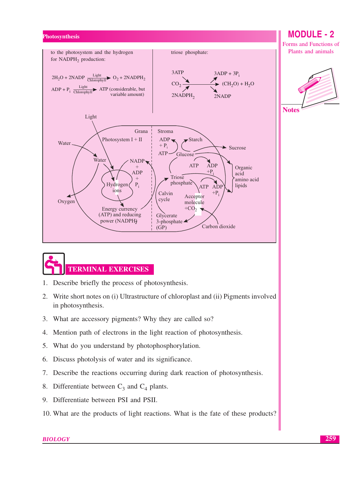



- $1.$ Describe briefly the process of photosynthesis.
- Write short notes on (i) Ultrastructure of chloroplast and (ii) Pigments involved 2. in photosynthesis.
- 3. What are accessory pigments? Why they are called so?
- 4. Mention path of electrons in the light reaction of photosynthesis.
- 5. What do you understand by photophosphorylation.
- 6. Discuss photolysis of water and its significance.
- 7. Describe the reactions occurring during dark reaction of photosynthesis.
- 8. Differentiate between  $C_3$  and  $C_4$  plants.
- 9. Differentiate between PSI and PSII.
- 10. What are the products of light reactions. What is the fate of these products?

### **BIOLOGY**

**MODULE - 2** 

Forms and Functions of Plants and animals

**Notes**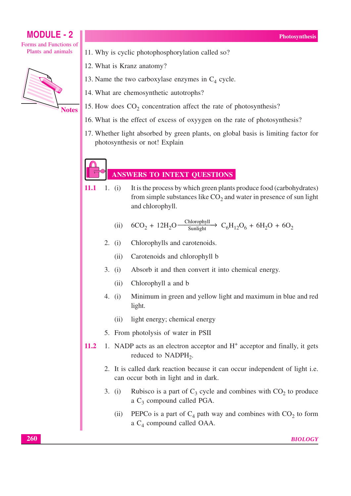## **MODULE - 2** Forms and Functions of

Plants and animals

**Notes** 

- 11. Why is cyclic photophosphorylation called so?
- 12. What is Kranz anatomy?
- 13. Name the two carboxylase enzymes in  $C_4$  cycle.
- 14. What are chemosynthetic autotrophs?
- 15. How does  $CO<sub>2</sub>$  concentration affect the rate of photosynthesis?
- 16. What is the effect of excess of oxyvgen on the rate of photosynthesis?
- 17. Whether light absorbed by green plants, on global basis is limiting factor for photosynthesis or not! Explain

## **ANSWERS TO INTEXT QUESTIONS**

11.1 1.  $(i)$ It is the process by which green plants produce food (carbohydrates) from simple substances like  $CO<sub>2</sub>$  and water in presence of sun light and chlorophyll.

(ii) 
$$
6CO_2 + 12H_2O \xrightarrow{\text{Chlorophyll}} C_6H_{12}O_6 + 6H_2O + 6O_2
$$

- 2.  $(i)$ Chlorophylls and carotenoids.
	- Carotenoids and chlorophyll b  $(ii)$
- $3. (i)$ Absorb it and then convert it into chemical energy.
	- Chlorophyll a and b  $(ii)$
- Minimum in green and yellow light and maximum in blue and red 4.  $(i)$ light.
	- light energy; chemical energy  $(ii)$
- 5. From photolysis of water in PSII
- 1. NADP acts as an electron acceptor and  $H<sup>+</sup>$  acceptor and finally, it gets 11.2 reduced to  $NADPH_2$ .
	- 2. It is called dark reaction because it can occur independent of light i.e. can occur both in light and in dark.
	- Rubisco is a part of  $C_3$  cycle and combines with  $CO_2$  to produce  $3. (i)$ a  $C_3$  compound called PGA.
		- PEPCo is a part of  $C_4$  path way and combines with  $CO_2$  to form  $(ii)$ a  $C_4$  compound called OAA.